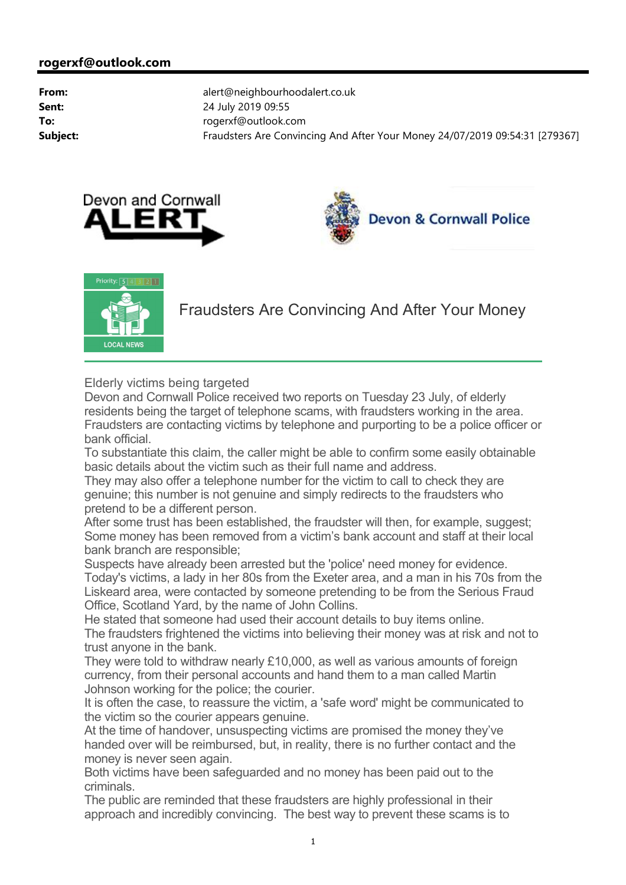





Fraudsters Are Convincing And After Your Money

Elderly victims being targeted

Devon and Cornwall Police received two reports on Tuesday 23 July, of elderly residents being the target of telephone scams, with fraudsters working in the area. Fraudsters are contacting victims by telephone and purporting to be a police officer or bank official.

To substantiate this claim, the caller might be able to confirm some easily obtainable basic details about the victim such as their full name and address.

They may also offer a telephone number for the victim to call to check they are genuine; this number is not genuine and simply redirects to the fraudsters who pretend to be a different person.

After some trust has been established, the fraudster will then, for example, suggest; Some money has been removed from a victim's bank account and staff at their local bank branch are responsible;

Suspects have already been arrested but the 'police' need money for evidence. Today's victims, a lady in her 80s from the Exeter area, and a man in his 70s from the Liskeard area, were contacted by someone pretending to be from the Serious Fraud Office, Scotland Yard, by the name of John Collins.

He stated that someone had used their account details to buy items online. The fraudsters frightened the victims into believing their money was at risk and not to trust anyone in the bank.

They were told to withdraw nearly £10,000, as well as various amounts of foreign currency, from their personal accounts and hand them to a man called Martin Johnson working for the police; the courier.

It is often the case, to reassure the victim, a 'safe word' might be communicated to the victim so the courier appears genuine.

At the time of handover, unsuspecting victims are promised the money they've handed over will be reimbursed, but, in reality, there is no further contact and the money is never seen again.

Both victims have been safeguarded and no money has been paid out to the criminals.

The public are reminded that these fraudsters are highly professional in their approach and incredibly convincing. The best way to prevent these scams is to